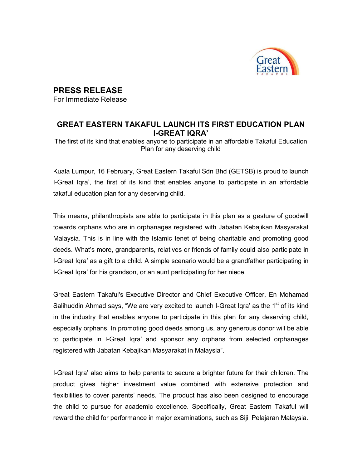

## PRESS RELEASE

For Immediate Release

## GREAT EASTERN TAKAFUL LAUNCH ITS FIRST EDUCATION PLAN I-GREAT IQRA'

The first of its kind that enables anyone to participate in an affordable Takaful Education Plan for any deserving child

Kuala Lumpur, 16 February, Great Eastern Takaful Sdn Bhd (GETSB) is proud to launch I-Great Iqra', the first of its kind that enables anyone to participate in an affordable takaful education plan for any deserving child.

This means, philanthropists are able to participate in this plan as a gesture of goodwill towards orphans who are in orphanages registered with Jabatan Kebajikan Masyarakat Malaysia. This is in line with the Islamic tenet of being charitable and promoting good deeds. What's more, grandparents, relatives or friends of family could also participate in I-Great Iqra' as a gift to a child. A simple scenario would be a grandfather participating in I-Great Iqra' for his grandson, or an aunt participating for her niece.

Great Eastern Takaful's Executive Director and Chief Executive Officer, En Mohamad Salihuddin Ahmad says, "We are very excited to launch I-Great Iqra' as the  $1<sup>st</sup>$  of its kind in the industry that enables anyone to participate in this plan for any deserving child, especially orphans. In promoting good deeds among us, any generous donor will be able to participate in I-Great Iqra' and sponsor any orphans from selected orphanages registered with Jabatan Kebajikan Masyarakat in Malaysia".

I-Great Iqra' also aims to help parents to secure a brighter future for their children. The product gives higher investment value combined with extensive protection and flexibilities to cover parents' needs. The product has also been designed to encourage the child to pursue for academic excellence. Specifically, Great Eastern Takaful will reward the child for performance in major examinations, such as Sijil Pelajaran Malaysia.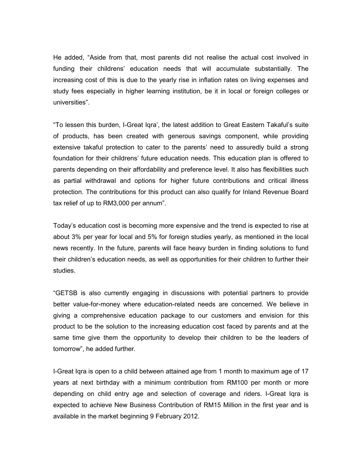He added, "Aside from that, most parents did not realise the actual cost involved in funding their childrens' education needs that will accumulate substantially. The increasing cost of this is due to the yearly rise in inflation rates on living expenses and study fees especially in higher learning institution, be it in local or foreign colleges or universities".

"To lessen this burden, I-Great Iqra', the latest addition to Great Eastern Takaful's suite of products, has been created with generous savings component, while providing extensive takaful protection to cater to the parents' need to assuredly build a strong foundation for their childrens' future education needs. This education plan is offered to parents depending on their affordability and preference level. It also has flexibilities such as partial withdrawal and options for higher future contributions and critical illness protection. The contributions for this product can also qualify for Inland Revenue Board tax relief of up to RM3,000 per annum".

Today's education cost is becoming more expensive and the trend is expected to rise at about 3% per year for local and 5% for foreign studies yearly, as mentioned in the local news recently. In the future, parents will face heavy burden in finding solutions to fund their children's education needs, as well as opportunities for their children to further their studies.

"GETSB is also currently engaging in discussions with potential partners to provide better value-for-money where education-related needs are concerned. We believe in giving a comprehensive education package to our customers and envision for this product to be the solution to the increasing education cost faced by parents and at the same time give them the opportunity to develop their children to be the leaders of tomorrow", he added further.

I-Great Iqra is open to a child between attained age from 1 month to maximum age of 17 years at next birthday with a minimum contribution from RM100 per month or more depending on child entry age and selection of coverage and riders. I-Great Iqra is expected to achieve New Business Contribution of RM15 Million in the first year and is available in the market beginning 9 February 2012.